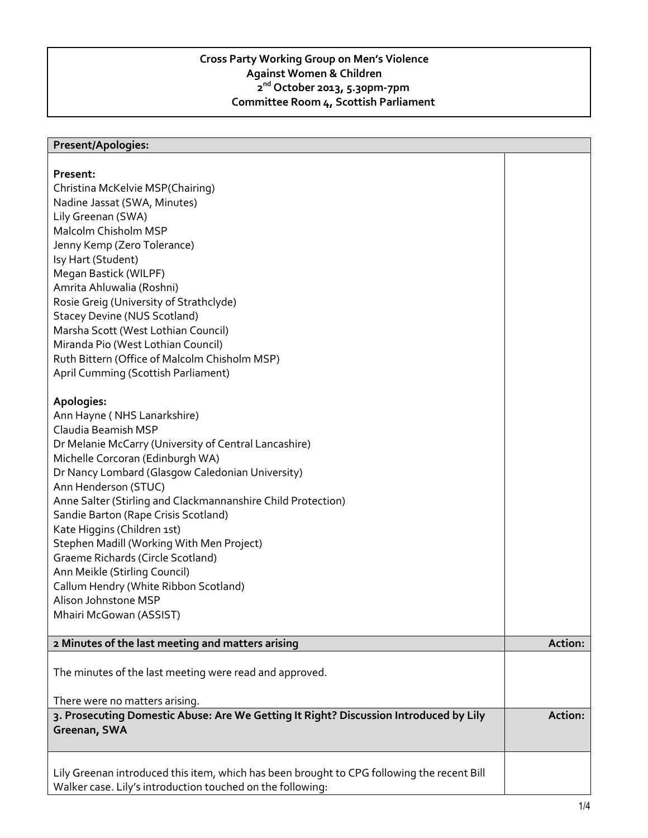## **Cross Party Working Group on Men's Violence Against Women & Children 2 nd October 2013, 5.30pm-7pm Committee Room 4, Scottish Parliament**

## **Present/Apologies: Present:**  Christina McKelvie MSP(Chairing) Nadine Jassat (SWA, Minutes) Lily Greenan (SWA) Malcolm Chisholm MSP Jenny Kemp (Zero Tolerance) Isy Hart (Student) Megan Bastick (WILPF) Amrita Ahluwalia (Roshni) Rosie Greig (University of Strathclyde) Stacey Devine (NUS Scotland) Marsha Scott (West Lothian Council) Miranda Pio (West Lothian Council) Ruth Bittern (Office of Malcolm Chisholm MSP) April Cumming (Scottish Parliament) **Apologies:**  Ann Hayne ( NHS Lanarkshire) Claudia Beamish MSP Dr Melanie McCarry (University of Central Lancashire) Michelle Corcoran (Edinburgh WA) Dr Nancy Lombard (Glasgow Caledonian University) Ann Henderson (STUC) Anne Salter (Stirling and Clackmannanshire Child Protection) Sandie Barton (Rape Crisis Scotland) Kate Higgins (Children 1st) Stephen Madill (Working With Men Project) Graeme Richards (Circle Scotland) Ann Meikle (Stirling Council) Callum Hendry (White Ribbon Scotland) Alison Johnstone MSP Mhairi McGowan (ASSIST) **2 Minutes of the last meeting and matters arising <b>Action: Action: Action: Action:** The minutes of the last meeting were read and approved. There were no matters arising. **3. Prosecuting Domestic Abuse: Are We Getting It Right? Discussion Introduced by Lily Greenan, SWA Action:** Lily Greenan introduced this item, which has been brought to CPG following the recent Bill Walker case. Lily's introduction touched on the following: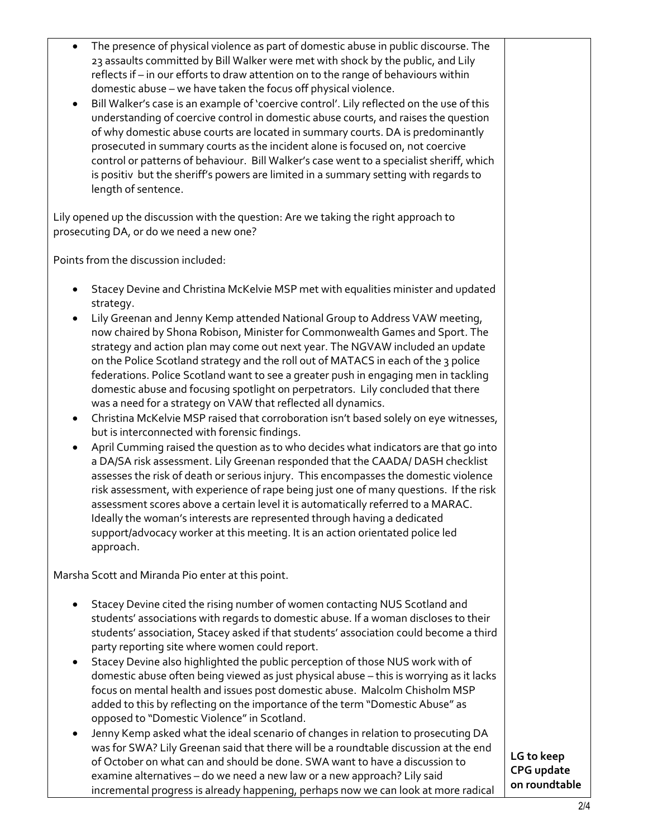| The presence of physical violence as part of domestic abuse in public discourse. The<br>23 assaults committed by Bill Walker were met with shock by the public, and Lily<br>reflects if - in our efforts to draw attention on to the range of behaviours within<br>domestic abuse - we have taken the focus off physical violence.<br>Bill Walker's case is an example of 'coercive control'. Lily reflected on the use of this<br>understanding of coercive control in domestic abuse courts, and raises the question<br>of why domestic abuse courts are located in summary courts. DA is predominantly<br>prosecuted in summary courts as the incident alone is focused on, not coercive<br>control or patterns of behaviour. Bill Walker's case went to a specialist sheriff, which<br>is positiv but the sheriff's powers are limited in a summary setting with regards to<br>length of sentence.                                                                                                                                                                                                                                                                                                                                                                                                                                                               |                                           |
|----------------------------------------------------------------------------------------------------------------------------------------------------------------------------------------------------------------------------------------------------------------------------------------------------------------------------------------------------------------------------------------------------------------------------------------------------------------------------------------------------------------------------------------------------------------------------------------------------------------------------------------------------------------------------------------------------------------------------------------------------------------------------------------------------------------------------------------------------------------------------------------------------------------------------------------------------------------------------------------------------------------------------------------------------------------------------------------------------------------------------------------------------------------------------------------------------------------------------------------------------------------------------------------------------------------------------------------------------------------------|-------------------------------------------|
| Lily opened up the discussion with the question: Are we taking the right approach to<br>prosecuting DA, or do we need a new one?                                                                                                                                                                                                                                                                                                                                                                                                                                                                                                                                                                                                                                                                                                                                                                                                                                                                                                                                                                                                                                                                                                                                                                                                                                     |                                           |
| Points from the discussion included:                                                                                                                                                                                                                                                                                                                                                                                                                                                                                                                                                                                                                                                                                                                                                                                                                                                                                                                                                                                                                                                                                                                                                                                                                                                                                                                                 |                                           |
| Stacey Devine and Christina McKelvie MSP met with equalities minister and updated<br>٠<br>strategy.                                                                                                                                                                                                                                                                                                                                                                                                                                                                                                                                                                                                                                                                                                                                                                                                                                                                                                                                                                                                                                                                                                                                                                                                                                                                  |                                           |
| Lily Greenan and Jenny Kemp attended National Group to Address VAW meeting,<br>now chaired by Shona Robison, Minister for Commonwealth Games and Sport. The<br>strategy and action plan may come out next year. The NGVAW included an update<br>on the Police Scotland strategy and the roll out of MATACS in each of the 3 police<br>federations. Police Scotland want to see a greater push in engaging men in tackling<br>domestic abuse and focusing spotlight on perpetrators. Lily concluded that there<br>was a need for a strategy on VAW that reflected all dynamics.<br>Christina McKelvie MSP raised that corroboration isn't based solely on eye witnesses,<br>$\bullet$<br>but is interconnected with forensic findings.<br>April Cumming raised the question as to who decides what indicators are that go into<br>٠<br>a DA/SA risk assessment. Lily Greenan responded that the CAADA/DASH checklist<br>assesses the risk of death or serious injury. This encompasses the domestic violence<br>risk assessment, with experience of rape being just one of many questions. If the risk<br>assessment scores above a certain level it is automatically referred to a MARAC.<br>Ideally the woman's interests are represented through having a dedicated<br>support/advocacy worker at this meeting. It is an action orientated police led<br>approach. |                                           |
| Marsha Scott and Miranda Pio enter at this point.                                                                                                                                                                                                                                                                                                                                                                                                                                                                                                                                                                                                                                                                                                                                                                                                                                                                                                                                                                                                                                                                                                                                                                                                                                                                                                                    |                                           |
| Stacey Devine cited the rising number of women contacting NUS Scotland and<br>students' associations with regards to domestic abuse. If a woman discloses to their<br>students' association, Stacey asked if that students' association could become a third<br>party reporting site where women could report.<br>Stacey Devine also highlighted the public perception of those NUS work with of<br>domestic abuse often being viewed as just physical abuse - this is worrying as it lacks<br>focus on mental health and issues post domestic abuse. Malcolm Chisholm MSP<br>added to this by reflecting on the importance of the term "Domestic Abuse" as<br>opposed to "Domestic Violence" in Scotland.<br>Jenny Kemp asked what the ideal scenario of changes in relation to prosecuting DA<br>was for SWA? Lily Greenan said that there will be a roundtable discussion at the end<br>of October on what can and should be done. SWA want to have a discussion to<br>examine alternatives - do we need a new law or a new approach? Lily said                                                                                                                                                                                                                                                                                                                   | LG to keep<br>CPG update<br>on roundtable |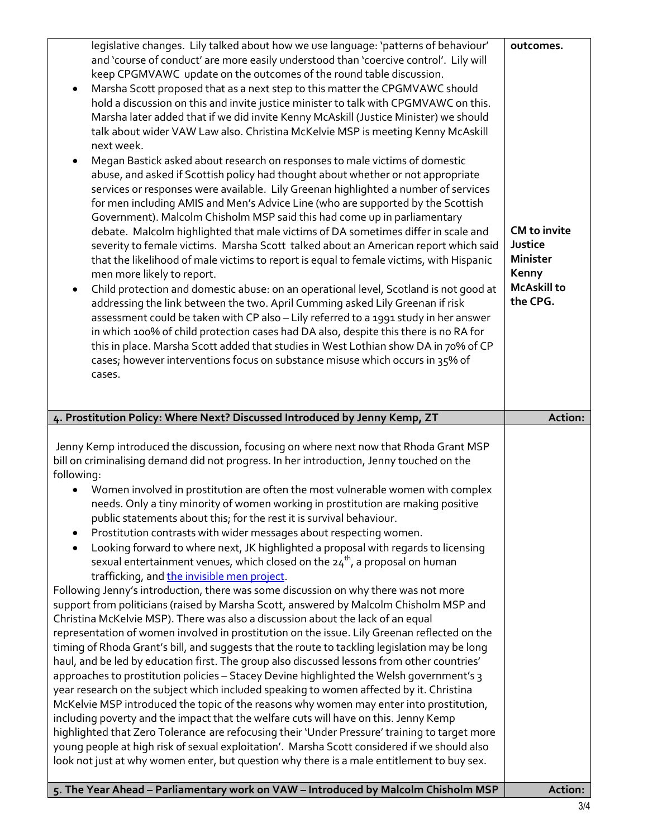| legislative changes. Lily talked about how we use language: 'patterns of behaviour'<br>and 'course of conduct' are more easily understood than 'coercive control'. Lily will<br>keep CPGMVAWC update on the outcomes of the round table discussion.<br>Marsha Scott proposed that as a next step to this matter the CPGMVAWC should<br>hold a discussion on this and invite justice minister to talk with CPGMVAWC on this.<br>Marsha later added that if we did invite Kenny McAskill (Justice Minister) we should<br>talk about wider VAW Law also. Christina McKelvie MSP is meeting Kenny McAskill<br>next week.<br>Megan Bastick asked about research on responses to male victims of domestic<br>abuse, and asked if Scottish policy had thought about whether or not appropriate<br>services or responses were available. Lily Greenan highlighted a number of services<br>for men including AMIS and Men's Advice Line (who are supported by the Scottish<br>Government). Malcolm Chisholm MSP said this had come up in parliamentary<br>debate. Malcolm highlighted that male victims of DA sometimes differ in scale and<br>severity to female victims. Marsha Scott talked about an American report which said<br>that the likelihood of male victims to report is equal to female victims, with Hispanic<br>men more likely to report.<br>Child protection and domestic abuse: on an operational level, Scotland is not good at<br>addressing the link between the two. April Cumming asked Lily Greenan if risk<br>assessment could be taken with CP also - Lily referred to a 1991 study in her answer<br>in which 100% of child protection cases had DA also, despite this there is no RA for<br>this in place. Marsha Scott added that studies in West Lothian show DA in 70% of CP<br>cases; however interventions focus on substance misuse which occurs in 35% of<br>cases.                                                                                                                                                                                                     | outcomes.<br><b>CM</b> to invite<br>Justice<br><b>Minister</b><br>Kenny<br><b>McAskill to</b><br>the CPG. |
|----------------------------------------------------------------------------------------------------------------------------------------------------------------------------------------------------------------------------------------------------------------------------------------------------------------------------------------------------------------------------------------------------------------------------------------------------------------------------------------------------------------------------------------------------------------------------------------------------------------------------------------------------------------------------------------------------------------------------------------------------------------------------------------------------------------------------------------------------------------------------------------------------------------------------------------------------------------------------------------------------------------------------------------------------------------------------------------------------------------------------------------------------------------------------------------------------------------------------------------------------------------------------------------------------------------------------------------------------------------------------------------------------------------------------------------------------------------------------------------------------------------------------------------------------------------------------------------------------------------------------------------------------------------------------------------------------------------------------------------------------------------------------------------------------------------------------------------------------------------------------------------------------------------------------------------------------------------------------------------------------------------------------------------------------------------------------------------------------|-----------------------------------------------------------------------------------------------------------|
| 4. Prostitution Policy: Where Next? Discussed Introduced by Jenny Kemp, ZT                                                                                                                                                                                                                                                                                                                                                                                                                                                                                                                                                                                                                                                                                                                                                                                                                                                                                                                                                                                                                                                                                                                                                                                                                                                                                                                                                                                                                                                                                                                                                                                                                                                                                                                                                                                                                                                                                                                                                                                                                         | Action:                                                                                                   |
| Jenny Kemp introduced the discussion, focusing on where next now that Rhoda Grant MSP<br>bill on criminalising demand did not progress. In her introduction, Jenny touched on the<br>following:<br>Women involved in prostitution are often the most vulnerable women with complex<br>needs. Only a tiny minority of women working in prostitution are making positive<br>public statements about this; for the rest it is survival behaviour.<br>Prostitution contrasts with wider messages about respecting women.<br>٠<br>Looking forward to where next, JK highlighted a proposal with regards to licensing<br>$\bullet$<br>sexual entertainment venues, which closed on the $24^{th}$ , a proposal on human<br>trafficking, and the invisible men project.<br>Following Jenny's introduction, there was some discussion on why there was not more<br>support from politicians (raised by Marsha Scott, answered by Malcolm Chisholm MSP and<br>Christina McKelvie MSP). There was also a discussion about the lack of an equal<br>representation of women involved in prostitution on the issue. Lily Greenan reflected on the<br>timing of Rhoda Grant's bill, and suggests that the route to tackling legislation may be long<br>haul, and be led by education first. The group also discussed lessons from other countries'<br>approaches to prostitution policies - Stacey Devine highlighted the Welsh government's 3<br>year research on the subject which included speaking to women affected by it. Christina<br>McKelvie MSP introduced the topic of the reasons why women may enter into prostitution,<br>including poverty and the impact that the welfare cuts will have on this. Jenny Kemp<br>highlighted that Zero Tolerance are refocusing their 'Under Pressure' training to target more<br>young people at high risk of sexual exploitation'. Marsha Scott considered if we should also<br>look not just at why women enter, but question why there is a male entitlement to buy sex.<br>5. The Year Ahead - Parliamentary work on VAW - Introduced by Malcolm Chisholm MSP | Action:                                                                                                   |